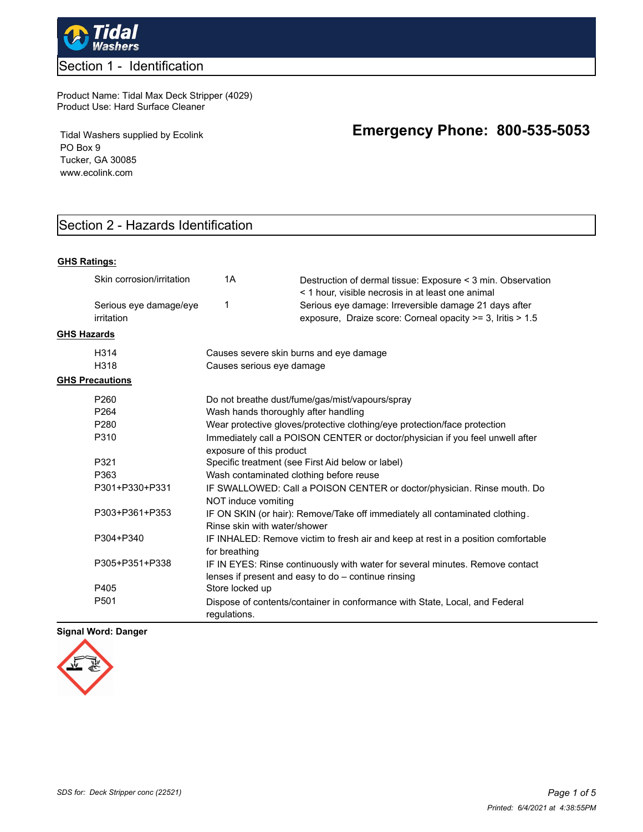

## Section 1 - Identification

#### Product Name: Tidal Max Deck Stripper (4029) Product Use: Hard Surface Cleaner

Tidal Washers supplied by Ecolink PO Box 9 Tucker, GA 30085 www.ecolink.com

## Section 2 - Hazards Identification

#### **GHS Ratings:**

|                    | Skin corrosion/irritation            | 1A                                      | Destruction of dermal tissue: Exposure < 3 min. Observation<br>< 1 hour, visible necrosis in at least one animal                     |
|--------------------|--------------------------------------|-----------------------------------------|--------------------------------------------------------------------------------------------------------------------------------------|
|                    | Serious eye damage/eye<br>irritation | 1                                       | Serious eye damage: Irreversible damage 21 days after<br>exposure, Draize score: Corneal opacity >= 3, Iritis > 1.5                  |
| <b>GHS Hazards</b> |                                      |                                         |                                                                                                                                      |
|                    | H314                                 |                                         | Causes severe skin burns and eye damage                                                                                              |
|                    | H318                                 | Causes serious eye damage               |                                                                                                                                      |
|                    | <b>GHS Precautions</b>               |                                         |                                                                                                                                      |
|                    | P <sub>260</sub>                     |                                         | Do not breathe dust/fume/gas/mist/vapours/spray                                                                                      |
|                    | P <sub>264</sub>                     | Wash hands thoroughly after handling    |                                                                                                                                      |
|                    | P <sub>280</sub>                     |                                         | Wear protective gloves/protective clothing/eye protection/face protection                                                            |
|                    | P310                                 | exposure of this product                | Immediately call a POISON CENTER or doctor/physician if you feel unwell after                                                        |
|                    | P321                                 |                                         | Specific treatment (see First Aid below or label)                                                                                    |
|                    | P363                                 | Wash contaminated clothing before reuse |                                                                                                                                      |
|                    | P301+P330+P331                       | NOT induce vomiting                     | IF SWALLOWED: Call a POISON CENTER or doctor/physician. Rinse mouth. Do                                                              |
|                    | P303+P361+P353                       | Rinse skin with water/shower            | IF ON SKIN (or hair): Remove/Take off immediately all contaminated clothing.                                                         |
|                    | P304+P340                            | for breathing                           | IF INHALED: Remove victim to fresh air and keep at rest in a position comfortable                                                    |
|                    | P305+P351+P338                       |                                         | IF IN EYES: Rinse continuously with water for several minutes. Remove contact<br>lenses if present and easy to do - continue rinsing |
|                    | P405                                 | Store locked up                         |                                                                                                                                      |
|                    | P <sub>501</sub>                     | requlations.                            | Dispose of contents/container in conformance with State, Local, and Federal                                                          |

#### **Signal Word: Danger**



# **Emergency Phone: 800-535-5053**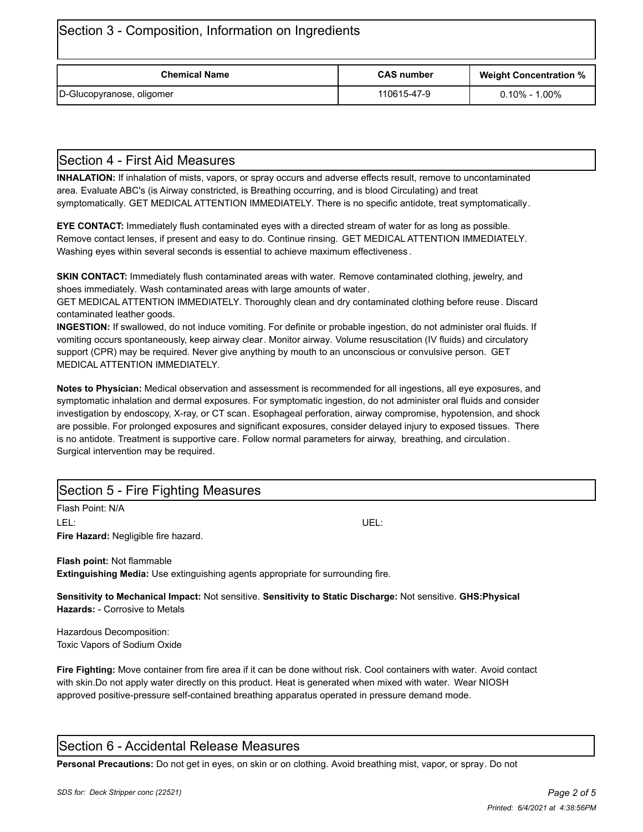| Section 3 - Composition, Information on Ingredients |                   |                               |  |  |
|-----------------------------------------------------|-------------------|-------------------------------|--|--|
| <b>Chemical Name</b>                                | <b>CAS number</b> | <b>Weight Concentration %</b> |  |  |
| D-Glucopyranose, oligomer                           | 110615-47-9       | $0.10\%$ - 1.00%              |  |  |

## Section 4 - First Aid Measures

**INHALATION:** If inhalation of mists, vapors, or spray occurs and adverse effects result, remove to uncontaminated area. Evaluate ABC's (is Airway constricted, is Breathing occurring, and is blood Circulating) and treat symptomatically. GET MEDICAL ATTENTION IMMEDIATELY. There is no specific antidote, treat symptomatically.

**EYE CONTACT:** Immediately flush contaminated eyes with a directed stream of water for as long as possible. Remove contact lenses, if present and easy to do. Continue rinsing. GET MEDICAL ATTENTION IMMEDIATELY. Washing eyes within several seconds is essential to achieve maximum effectiveness .

**SKIN CONTACT:** Immediately flush contaminated areas with water. Remove contaminated clothing, jewelry, and shoes immediately. Wash contaminated areas with large amounts of water.

GET MEDICAL ATTENTION IMMEDIATELY. Thoroughly clean and dry contaminated clothing before reuse. Discard contaminated leather goods.

**INGESTION:** If swallowed, do not induce vomiting. For definite or probable ingestion, do not administer oral fluids. If vomiting occurs spontaneously, keep airway clear. Monitor airway. Volume resuscitation (IV fluids) and circulatory support (CPR) may be required. Never give anything by mouth to an unconscious or convulsive person. GET MEDICAL ATTENTION IMMEDIATELY.

**Notes to Physician:** Medical observation and assessment is recommended for all ingestions, all eye exposures, and symptomatic inhalation and dermal exposures. For symptomatic ingestion, do not administer oral fluids and consider investigation by endoscopy, X-ray, or CT scan. Esophageal perforation, airway compromise, hypotension, and shock are possible. For prolonged exposures and significant exposures, consider delayed injury to exposed tissues. There is no antidote. Treatment is supportive care. Follow normal parameters for airway, breathing, and circulation. Surgical intervention may be required.

## Section 5 - Fire Fighting Measures

Flash Point: N/A LEL: UEL: **Fire Hazard:** Negligible fire hazard.

**Flash point:** Not flammable **Extinguishing Media:** Use extinguishing agents appropriate for surrounding fire.

**Sensitivity to Mechanical Impact:** Not sensitive. **Sensitivity to Static Discharge:** Not sensitive. **GHS:Physical Hazards:** - Corrosive to Metals

Hazardous Decomposition: Toxic Vapors of Sodium Oxide

**Fire Fighting:** Move container from fire area if it can be done without risk. Cool containers with water. Avoid contact with skin.Do not apply water directly on this product. Heat is generated when mixed with water. Wear NIOSH approved positive-pressure self-contained breathing apparatus operated in pressure demand mode.

## Section 6 - Accidental Release Measures

**Personal Precautions:** Do not get in eyes, on skin or on clothing. Avoid breathing mist, vapor, or spray. Do not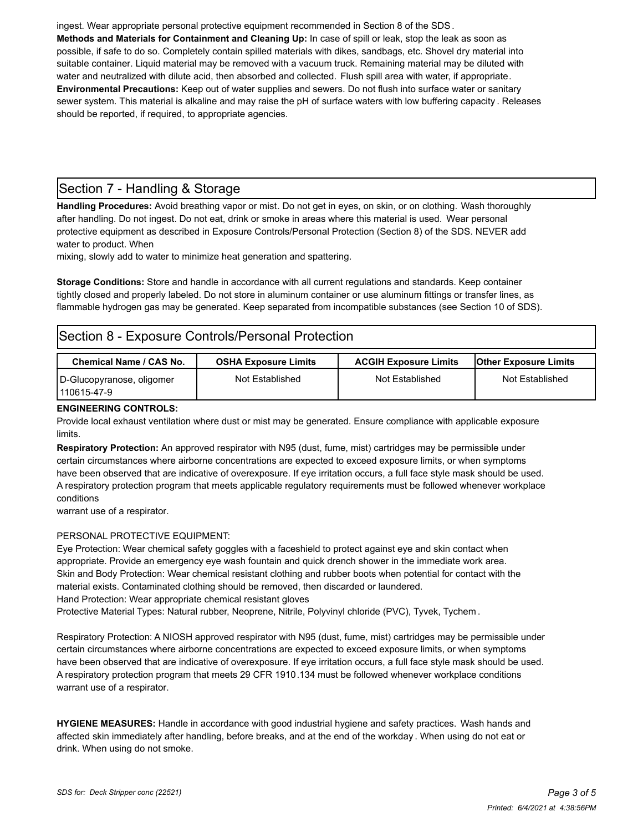ingest. Wear appropriate personal protective equipment recommended in Section 8 of the SDS. **Methods and Materials for Containment and Cleaning Up:** In case of spill or leak, stop the leak as soon as possible, if safe to do so. Completely contain spilled materials with dikes, sandbags, etc. Shovel dry material into suitable container. Liquid material may be removed with a vacuum truck. Remaining material may be diluted with water and neutralized with dilute acid, then absorbed and collected. Flush spill area with water, if appropriate. **Environmental Precautions:** Keep out of water supplies and sewers. Do not flush into surface water or sanitary sewer system. This material is alkaline and may raise the pH of surface waters with low buffering capacity . Releases should be reported, if required, to appropriate agencies.

## Section 7 - Handling & Storage

**Handling Procedures:** Avoid breathing vapor or mist. Do not get in eyes, on skin, or on clothing. Wash thoroughly after handling. Do not ingest. Do not eat, drink or smoke in areas where this material is used. Wear personal protective equipment as described in Exposure Controls/Personal Protection (Section 8) of the SDS. NEVER add water to product. When

mixing, slowly add to water to minimize heat generation and spattering.

**Storage Conditions:** Store and handle in accordance with all current regulations and standards. Keep container tightly closed and properly labeled. Do not store in aluminum container or use aluminum fittings or transfer lines, as flammable hydrogen gas may be generated. Keep separated from incompatible substances (see Section 10 of SDS).

## Section 8 - Exposure Controls/Personal Protection

| <b>Chemical Name / CAS No.</b>             | <b>OSHA Exposure Limits</b> | <b>ACGIH Exposure Limits</b> | <b>Other Exposure Limits</b> |
|--------------------------------------------|-----------------------------|------------------------------|------------------------------|
| D-Glucopyranose, oligomer<br>l 110615-47-9 | Not Established             | Not Established              | Not Established              |

#### **ENGINEERING CONTROLS:**

Provide local exhaust ventilation where dust or mist may be generated. Ensure compliance with applicable exposure limits.

**Respiratory Protection:** An approved respirator with N95 (dust, fume, mist) cartridges may be permissible under certain circumstances where airborne concentrations are expected to exceed exposure limits, or when symptoms have been observed that are indicative of overexposure. If eye irritation occurs, a full face style mask should be used. A respiratory protection program that meets applicable regulatory requirements must be followed whenever workplace conditions

warrant use of a respirator.

#### PERSONAL PROTECTIVE EQUIPMENT:

Eye Protection: Wear chemical safety goggles with a faceshield to protect against eye and skin contact when appropriate. Provide an emergency eye wash fountain and quick drench shower in the immediate work area. Skin and Body Protection: Wear chemical resistant clothing and rubber boots when potential for contact with the material exists. Contaminated clothing should be removed, then discarded or laundered. Hand Protection: Wear appropriate chemical resistant gloves

Protective Material Types: Natural rubber, Neoprene, Nitrile, Polyvinyl chloride (PVC), Tyvek, Tychem .

Respiratory Protection: A NIOSH approved respirator with N95 (dust, fume, mist) cartridges may be permissible under certain circumstances where airborne concentrations are expected to exceed exposure limits, or when symptoms have been observed that are indicative of overexposure. If eye irritation occurs, a full face style mask should be used. A respiratory protection program that meets 29 CFR 1910.134 must be followed whenever workplace conditions warrant use of a respirator.

**HYGIENE MEASURES:** Handle in accordance with good industrial hygiene and safety practices. Wash hands and affected skin immediately after handling, before breaks, and at the end of the workday . When using do not eat or drink. When using do not smoke.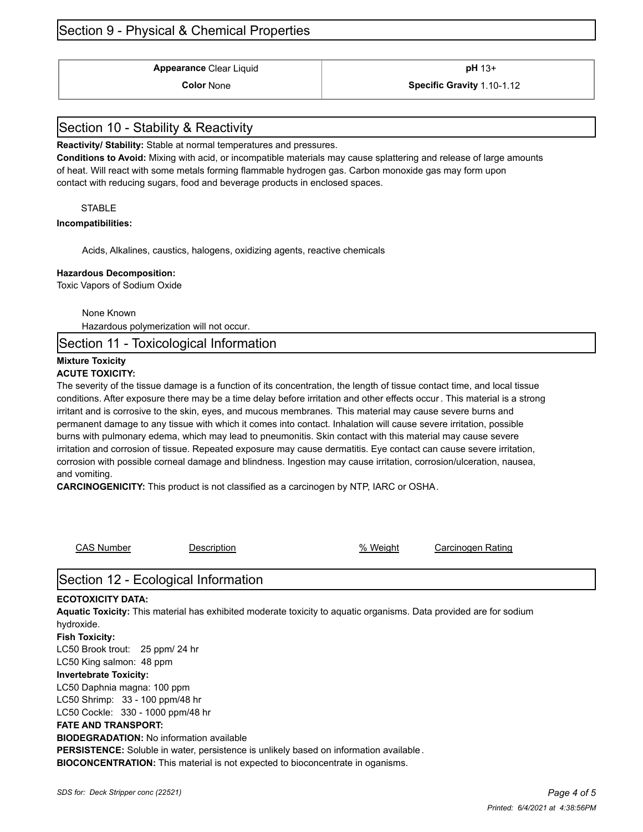## Section 9 - Physical & Chemical Properties

**Appearance** Clear Liquid **and Clear is a pH** 13+

### **Color** None **Specific Gravity** 1.10-1.12

## Section 10 - Stability & Reactivity

**Reactivity/ Stability:** Stable at normal temperatures and pressures.

**Conditions to Avoid:** Mixing with acid, or incompatible materials may cause splattering and release of large amounts of heat. Will react with some metals forming flammable hydrogen gas. Carbon monoxide gas may form upon contact with reducing sugars, food and beverage products in enclosed spaces.

#### **STABLE**

#### **Incompatibilities:**

Acids, Alkalines, caustics, halogens, oxidizing agents, reactive chemicals

#### **Hazardous Decomposition:**

Toxic Vapors of Sodium Oxide

None Known

Hazardous polymerization will not occur.

Section 11 - Toxicological Information

#### **Mixture Toxicity ACUTE TOXICITY:**

The severity of the tissue damage is a function of its concentration, the length of tissue contact time, and local tissue conditions. After exposure there may be a time delay before irritation and other effects occur . This material is a strong irritant and is corrosive to the skin, eyes, and mucous membranes. This material may cause severe burns and permanent damage to any tissue with which it comes into contact. Inhalation will cause severe irritation, possible burns with pulmonary edema, which may lead to pneumonitis. Skin contact with this material may cause severe irritation and corrosion of tissue. Repeated exposure may cause dermatitis. Eye contact can cause severe irritation, corrosion with possible corneal damage and blindness. Ingestion may cause irritation, corrosion/ulceration, nausea, and vomiting.

**CARCINOGENICITY:** This product is not classified as a carcinogen by NTP, IARC or OSHA.

CAS Number **Description CAS Number** Carcinogen Rating

## Section 12 - Ecological Information

#### **ECOTOXICITY DATA:**

**Aquatic Toxicity:** This material has exhibited moderate toxicity to aquatic organisms. Data provided are for sodium hydroxide.

**Fish Toxicity:** LC50 Brook trout: 25 ppm/ 24 hr LC50 King salmon: 48 ppm

#### **Invertebrate Toxicity:**

LC50 Daphnia magna: 100 ppm LC50 Shrimp: 33 - 100 ppm/48 hr LC50 Cockle: 330 - 1000 ppm/48 hr

## **FATE AND TRANSPORT:**

**BIODEGRADATION:** No information available

**PERSISTENCE:** Soluble in water, persistence is unlikely based on information available .

**BIOCONCENTRATION:** This material is not expected to bioconcentrate in oganisms.